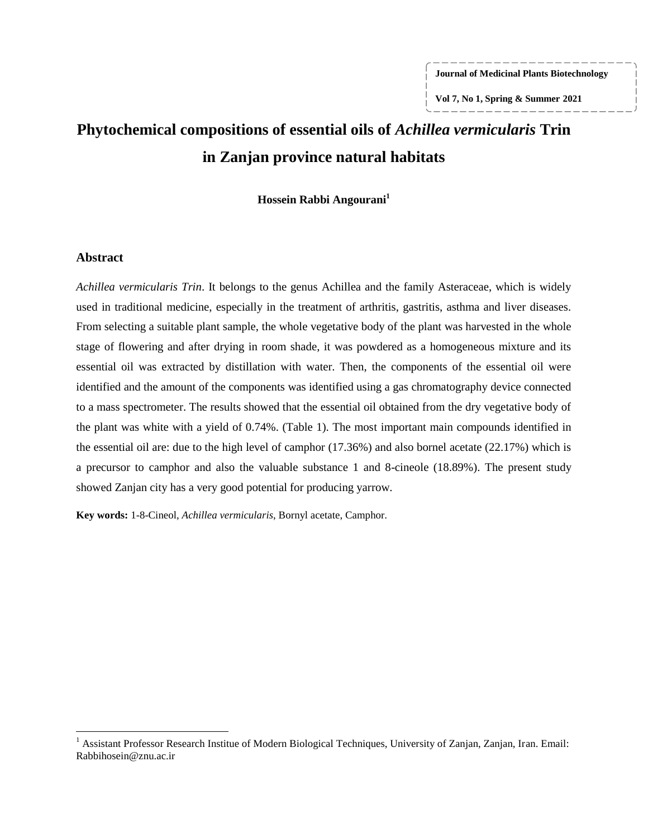**Journal of Medicinal Plants Biotechnology**

**Vol 7, No 1, Spring & Summer 2021**

# **Phytochemical compositions of essential oils of** *Achillea vermicularis* **Trin in Zanjan province natural habitats**

**Hossein Rabbi Angourani<sup>1</sup>**

#### **Abstract**

 $\overline{\phantom{a}}$ 

*Achillea vermicularis Trin*. It belongs to the genus Achillea and the family Asteraceae, which is widely used in traditional medicine, especially in the treatment of arthritis, gastritis, asthma and liver diseases. From selecting a suitable plant sample, the whole vegetative body of the plant was harvested in the whole stage of flowering and after drying in room shade, it was powdered as a homogeneous mixture and its essential oil was extracted by distillation with water. Then, the components of the essential oil were identified and the amount of the components was identified using a gas chromatography device connected to a mass spectrometer. The results showed that the essential oil obtained from the dry vegetative body of the plant was white with a yield of 0.74%. (Table 1). The most important main compounds identified in the essential oil are: due to the high level of camphor (17.36%) and also bornel acetate (22.17%) which is a precursor to camphor and also the valuable substance 1 and 8-cineole (18.89%). The present study showed Zanjan city has a very good potential for producing yarrow.

**Key words:** 1-8-Cineol, *Achillea vermicularis*, Bornyl acetate, Camphor*.*

<sup>&</sup>lt;sup>1</sup> Assistant Professor Research Institue of Modern Biological Techniques, University of Zanjan, Zanjan, Iran. Email: Rabbihosein@znu.ac.ir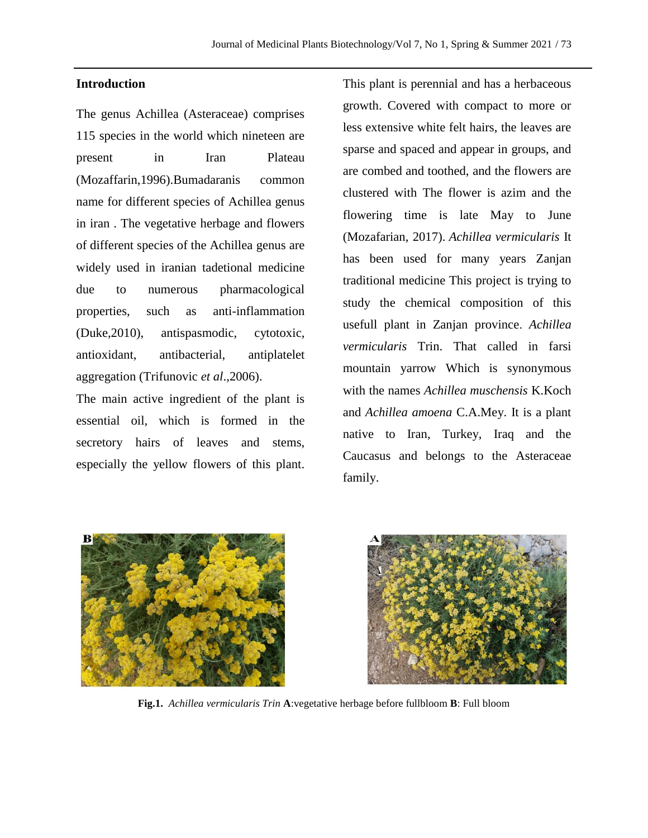# **Introduction**

The genus Achillea (Asteraceae) comprises 115 species in the world which nineteen are present in Iran Plateau (Mozaffarin,1996).Bumadaranis common name for different species of Achillea genus in iran . The vegetative herbage and flowers of different species of the Achillea genus are widely used in iranian tadetional medicine due to numerous pharmacological properties, such as anti-inflammation (Duke,2010), antispasmodic, cytotoxic, antioxidant, antibacterial, antiplatelet aggregation (Trifunovic *et al*.,2006).

The main active ingredient of the plant is essential oil, which is formed in the secretory hairs of leaves and stems, especially the yellow flowers of this plant.

This plant is perennial and has a herbaceous growth. Covered with compact to more or less extensive white felt hairs, the leaves are sparse and spaced and appear in groups, and are combed and toothed, and the flowers are clustered with The flower is azim and the flowering time is late May to June (Mozafarian, 2017). *Achillea vermicularis* It has been used for many years Zanjan traditional medicine This project is trying to study the chemical composition of this usefull plant in Zanjan province. *Achillea vermicularis* Trin. That called in farsi mountain yarrow Which is synonymous with the names *Achillea muschensis* K.Koch and *Achillea amoena* C.A.Mey. It is a plant native to Iran, Turkey, Iraq and the Caucasus and belongs to the Asteraceae family.





**Fig.1.** *Achillea vermicularis Trin* **A**:vegetative herbage before fullbloom **B**: Full bloom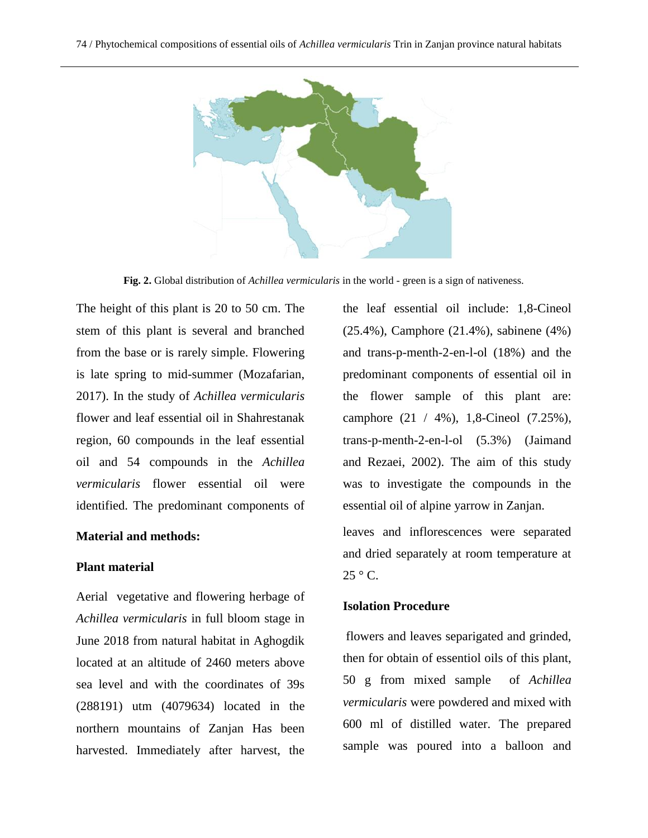

**Fig. 2.** Global distribution of *Achillea vermicularis* in the world - green is a sign of nativeness.

The height of this plant is 20 to 50 cm. The stem of this plant is several and branched from the base or is rarely simple. Flowering is late spring to mid-summer (Mozafarian, 2017). In the study of *Achillea vermicularis* flower and leaf essential oil in Shahrestanak region, 60 compounds in the leaf essential oil and 54 compounds in the *Achillea vermicularis* flower essential oil were identified. The predominant components of

### **Material and methods:**

### **Plant material**

Aerial vegetative and flowering herbage of *Achillea vermicularis* in full bloom stage in June 2018 from natural habitat in Aghogdik located at an altitude of 2460 meters above sea level and with the coordinates of 39s (288191) utm (4079634) located in the northern mountains of Zanjan Has been harvested. Immediately after harvest, the the leaf essential oil include: 1,8-Cineol (25.4%), Camphore (21.4%), sabinene (4%) and trans-p-menth-2-en-l-ol (18%) and the predominant components of essential oil in the flower sample of this plant are: camphore (21 / 4%), 1,8-Cineol (7.25%), trans-p-menth-2-en-l-ol (5.3%) (Jaimand and Rezaei, 2002). The aim of this study was to investigate the compounds in the essential oil of alpine yarrow in Zanjan.

leaves and inflorescences were separated and dried separately at room temperature at  $25 \degree$  C.

#### **Isolation Procedure**

flowers and leaves separigated and grinded, then for obtain of essentiol oils of this plant, 50 g from mixed sample of *Achillea vermicularis* were powdered and mixed with 600 ml of distilled water. The prepared sample was poured into a balloon and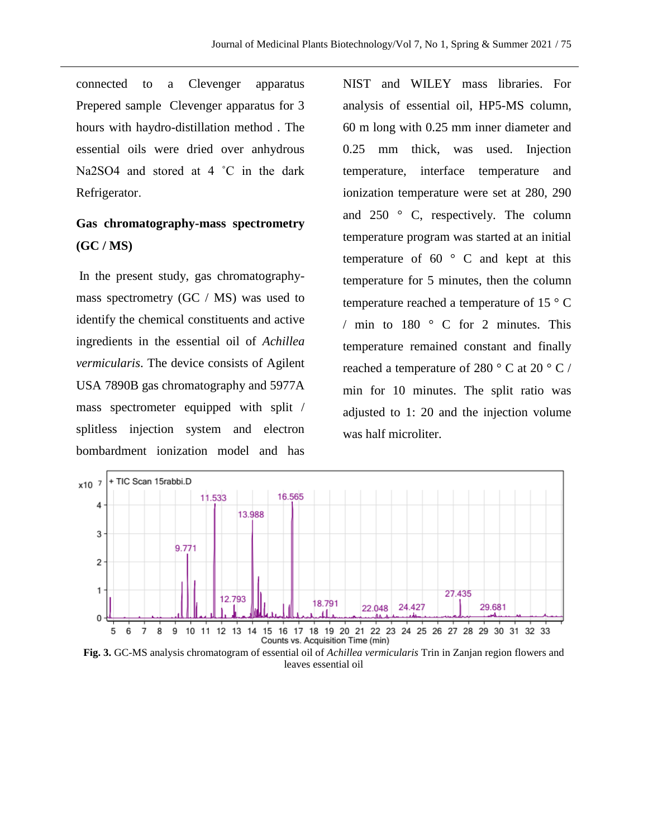connected to a Clevenger apparatus Prepered sample Clevenger apparatus for 3 hours with haydro-distillation method . The essential oils were dried over anhydrous Na2SO4 and stored at 4 °C in the dark Refrigerator.

# **Gas chromatography-mass spectrometry (GC / MS)**

In the present study, gas chromatographymass spectrometry (GC / MS) was used to identify the chemical constituents and active ingredients in the essential oil of *Achillea vermicularis*. The device consists of Agilent USA 7890B gas chromatography and 5977A mass spectrometer equipped with split / splitless injection system and electron bombardment ionization model and has

NIST and WILEY mass libraries. For analysis of essential oil, HP5-MS column, 60 m long with 0.25 mm inner diameter and 0.25 mm thick, was used. Injection temperature, interface temperature and ionization temperature were set at 280, 290 and 250 ° C, respectively. The column temperature program was started at an initial temperature of  $60^\circ$  C and kept at this temperature for 5 minutes, then the column temperature reached a temperature of 15 $\degree$  C / min to 180 ° C for 2 minutes. This temperature remained constant and finally reached a temperature of 280  $\degree$  C at 20  $\degree$  C / min for 10 minutes. The split ratio was adjusted to 1: 20 and the injection volume was half microliter.



**Fig. 3.** GC-MS analysis chromatogram of essential oil of *Achillea vermicularis* Trin in Zanjan region flowers and leaves essential oil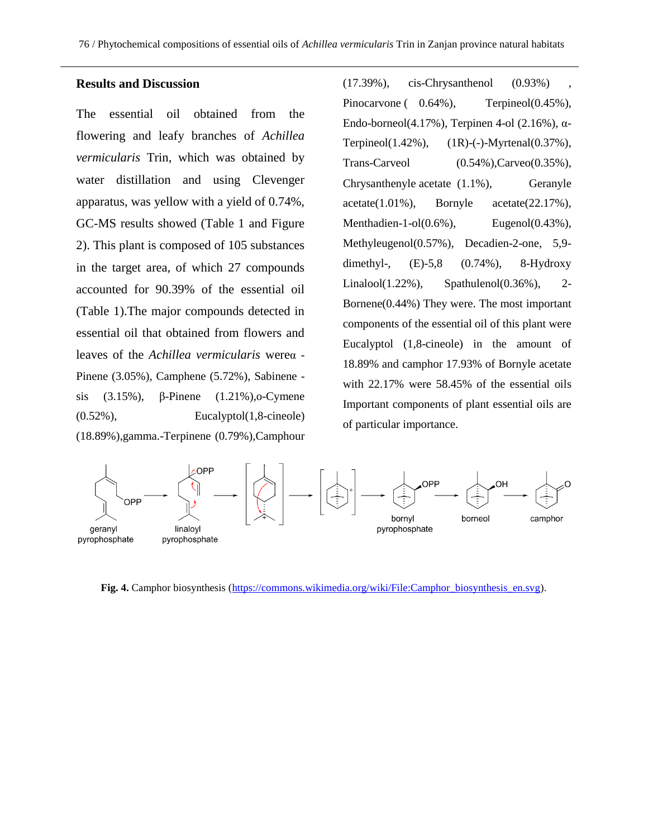#### **Results and Discussion**

The essential oil obtained from the flowering and leafy branches of *Achillea vermicularis* Trin, which was obtained by water distillation and using Clevenger apparatus, was yellow with a yield of 0.74%, GC-MS results showed (Table 1 and Figure 2). This plant is composed of 105 substances in the target area, of which 27 compounds accounted for 90.39% of the essential oil (Table 1).The major compounds detected in essential oil that obtained from flowers and leaves of the *Achillea vermicularis* wereα - Pinene (3.05%), Camphene (5.72%), Sabinene sis (3.15%), β-Pinene (1.21%),o-Cymene (0.52%), Eucalyptol(1,8-cineole) (18.89%),gamma.-Terpinene (0.79%),Camphour

(17.39%), cis-Chrysanthenol (0.93%) , Pinocarvone ( $0.64\%$ ), Terpineol(0.45%), Endo-borneol(4.17%), Terpinen 4-ol (2.16%), α-Terpineol(1.42%), (1R)-(-)-Myrtenal(0.37%), Trans-Carveol  $(0.54\%)$ ,Carveo $(0.35\%)$ , Chrysanthenyle acetate  $(1.1\%)$ , Geranyle  $\text{acetate}(1.01\%)$ , Bornyle  $\text{acetate}(22.17\%)$ , Menthadien-1-ol $(0.6\%)$ , Eugenol $(0.43\%)$ , Methyleugenol(0.57%), Decadien-2-one, 5,9 dimethyl-,  $(E)-5,8$   $(0.74\%)$ , 8-Hydroxy Linalool(1.22%), Spathulenol(0.36%), 2- Bornene(0.44%) They were. The most important components of the essential oil of this plant were Eucalyptol (1,8-cineole) in the amount of 18.89% and camphor 17.93% of Bornyle acetate with 22.17% were 58.45% of the essential oils Important components of plant essential oils are of particular importance.



**Fig. 4.** Camphor biosynthesis [\(https://commons.wikimedia.org/wiki/File:Camphor\\_biosynthesis\\_en.svg\)](https://commons.wikimedia.org/wiki/File:Camphor_biosynthesis_en.svg).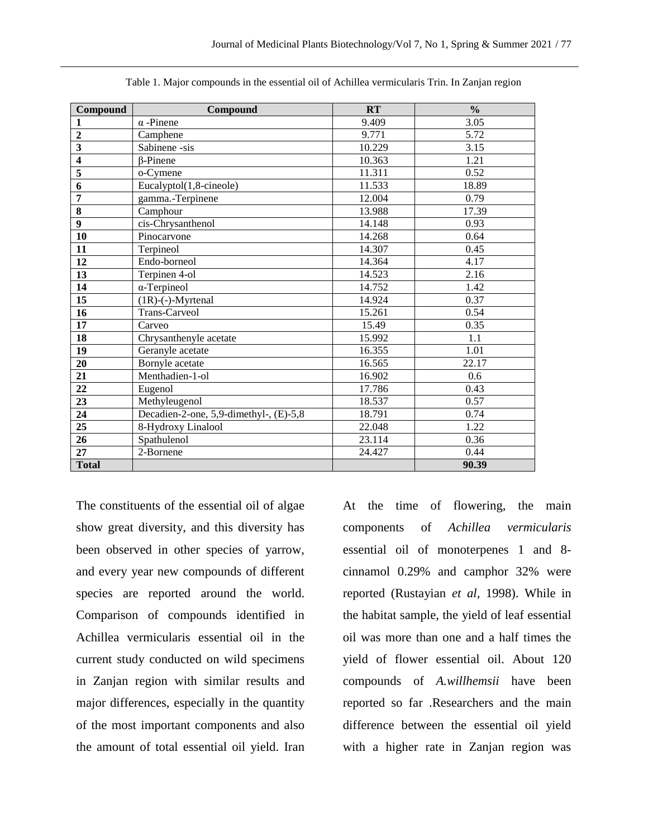| Compound                | Compound                               | RT     | $\frac{0}{0}$ |
|-------------------------|----------------------------------------|--------|---------------|
| 1                       | $\alpha$ -Pinene                       | 9.409  | 3.05          |
| $\overline{2}$          | Camphene                               | 9.771  | 5.72          |
| $\overline{\mathbf{3}}$ | Sabinene -sis                          | 10.229 | 3.15          |
| $\overline{\mathbf{4}}$ | $\beta$ -Pinene                        | 10.363 | 1.21          |
| 5                       | o-Cymene                               | 11.311 | 0.52          |
| 6                       | Eucalyptol(1,8-cineole)                | 11.533 | 18.89         |
| 7                       | gamma.-Terpinene                       | 12.004 | 0.79          |
| 8                       | Camphour                               | 13.988 | 17.39         |
| $\boldsymbol{9}$        | cis-Chrysanthenol                      | 14.148 | 0.93          |
| 10                      | Pinocarvone                            | 14.268 | 0.64          |
| 11                      | Terpineol                              | 14.307 | 0.45          |
| 12                      | Endo-borneol                           | 14.364 | 4.17          |
| 13                      | Terpinen 4-ol                          | 14.523 | 2.16          |
| 14                      | $\alpha$ -Terpineol                    | 14.752 | 1.42          |
| 15                      | $(1R)$ -(-)-Myrtenal                   | 14.924 | 0.37          |
| 16                      | Trans-Carveol                          | 15.261 | 0.54          |
| 17                      | Carveo                                 | 15.49  | 0.35          |
| 18                      | Chrysanthenyle acetate                 | 15.992 | 1.1           |
| 19                      | Geranyle acetate                       | 16.355 | 1.01          |
| 20                      | Bornyle acetate                        | 16.565 | 22.17         |
| 21                      | Menthadien-1-ol                        | 16.902 | 0.6           |
| 22                      | Eugenol                                | 17.786 | 0.43          |
| 23                      | Methyleugenol                          | 18.537 | 0.57          |
| 24                      | Decadien-2-one, 5,9-dimethyl-, (E)-5,8 | 18.791 | 0.74          |
| 25                      | 8-Hydroxy Linalool                     | 22.048 | 1.22          |
| 26                      | Spathulenol                            | 23.114 | 0.36          |
| 27                      | 2-Bornene                              | 24.427 | 0.44          |
| <b>Total</b>            |                                        |        | 90.39         |

Table 1. Major compounds in the essential oil of Achillea vermicularis Trin. In Zanjan region

The constituents of the essential oil of algae show great diversity, and this diversity has been observed in other species of yarrow, and every year new compounds of different species are reported around the world. Comparison of compounds identified in Achillea vermicularis essential oil in the current study conducted on wild specimens in Zanjan region with similar results and major differences, especially in the quantity of the most important components and also the amount of total essential oil yield. Iran

At the time of flowering, the main components of *Achillea vermicularis* essential oil of monoterpenes 1 and 8 cinnamol 0.29% and camphor 32% were reported (Rustayian *et al,* 1998). While in the habitat sample, the yield of leaf essential oil was more than one and a half times the yield of flower essential oil. About 120 compounds of *A.willhemsii* have been reported so far .Researchers and the main difference between the essential oil yield with a higher rate in Zanjan region was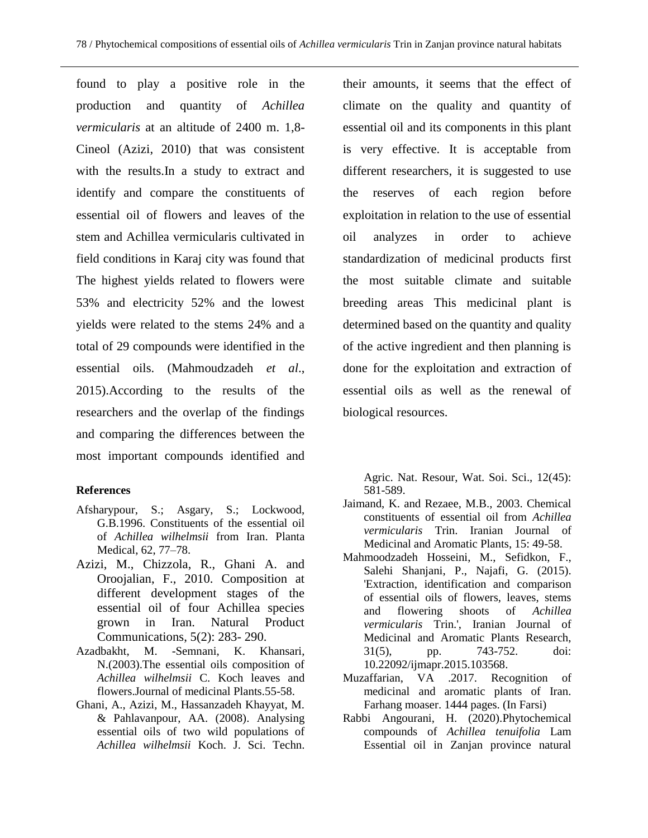found to play a positive role in the production and quantity of *Achillea vermicularis* at an altitude of 2400 m. 1,8- Cineol (Azizi, 2010) that was consistent with the results.In a study to extract and identify and compare the constituents of essential oil of flowers and leaves of the stem and Achillea vermicularis cultivated in field conditions in Karaj city was found that The highest yields related to flowers were 53% and electricity 52% and the lowest yields were related to the stems 24% and a total of 29 compounds were identified in the essential oils. (Mahmoudzadeh *et al*., 2015).According to the results of the researchers and the overlap of the findings and comparing the differences between the most important compounds identified and

# **References**

- Afsharypour, S.; Asgary, S.; Lockwood, G.B.1996. Constituents of the essential oil of *Achillea wilhelmsii* from Iran. Planta Medical, 62, 77–78.
- Azizi, M., Chizzola, R., Ghani A. and Oroojalian, F., 2010. Composition at different development stages of the essential oil of four Achillea species grown in Iran. Natural Product Communications, 5(2): 283- 290.
- Azadbakht, M. -Semnani, K. Khansari, N.(2003).The essential oils composition of *Achillea wilhelmsii* C. Koch leaves and flowers.Journal of medicinal Plants.55-58.
- Ghani, A., Azizi, M., Hassanzadeh Khayyat, M. & Pahlavanpour, AA. (2008). Analysing essential oils of two wild populations of *Achillea wilhelmsii* Koch. J. Sci. Techn.

their amounts, it seems that the effect of climate on the quality and quantity of essential oil and its components in this plant is very effective. It is acceptable from different researchers, it is suggested to use the reserves of each region before exploitation in relation to the use of essential oil analyzes in order to achieve standardization of medicinal products first the most suitable climate and suitable breeding areas This medicinal plant is determined based on the quantity and quality of the active ingredient and then planning is done for the exploitation and extraction of essential oils as well as the renewal of biological resources.

Agric. Nat. Resour, Wat. Soi. Sci., 12(45): 581-589.

- Jaimand, K. and Rezaee, M.B., 2003. Chemical constituents of essential oil from *Achillea vermicularis* Trin. Iranian Journal of Medicinal and Aromatic Plants, 15: 49-58.
- Mahmoodzadeh Hosseini, M., Sefidkon, F., Salehi Shanjani, P., Najafi, G. (2015). 'Extraction, identification and comparison of essential oils of flowers, leaves, stems and flowering shoots of *Achillea vermicularis* Trin.', Iranian Journal of Medicinal and Aromatic Plants Research, 31(5), pp. 743-752. doi: 10.22092/ijmapr.2015.103568.
- Muzaffarian, VA .2017. Recognition of medicinal and aromatic plants of Iran. Farhang moaser. 1444 pages. (In Farsi)
- Rabbi Angourani, H. (2020).Phytochemical compounds of *Achillea tenuifolia* Lam Essential oil in Zanjan province natural